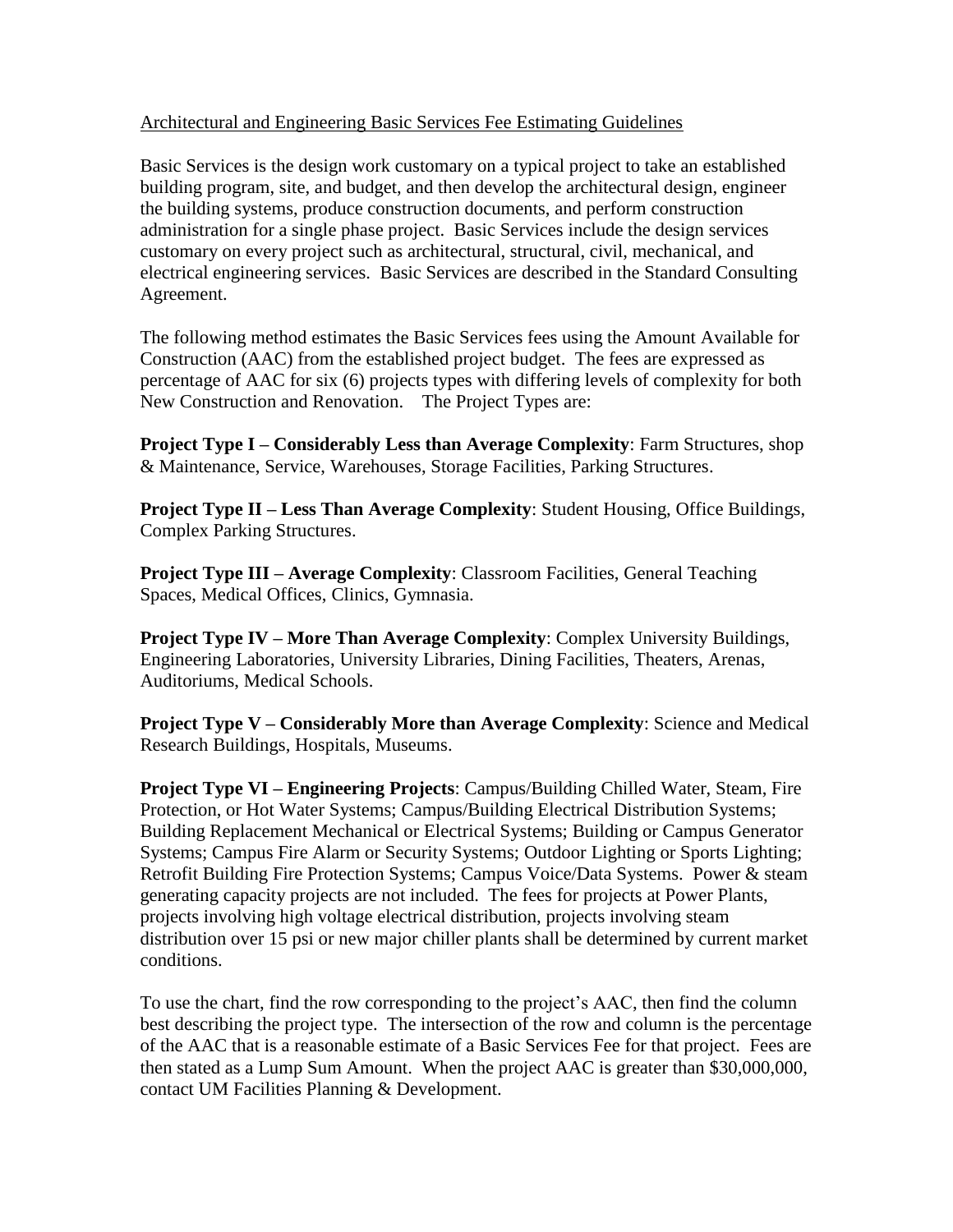## Architectural and Engineering Basic Services Fee Estimating Guidelines

Basic Services is the design work customary on a typical project to take an established building program, site, and budget, and then develop the architectural design, engineer the building systems, produce construction documents, and perform construction administration for a single phase project. Basic Services include the design services customary on every project such as architectural, structural, civil, mechanical, and electrical engineering services. Basic Services are described in the Standard Consulting Agreement.

The following method estimates the Basic Services fees using the Amount Available for Construction (AAC) from the established project budget. The fees are expressed as percentage of AAC for six (6) projects types with differing levels of complexity for both New Construction and Renovation. The Project Types are:

**Project Type I – Considerably Less than Average Complexity**: Farm Structures, shop & Maintenance, Service, Warehouses, Storage Facilities, Parking Structures.

**Project Type II – Less Than Average Complexity**: Student Housing, Office Buildings, Complex Parking Structures.

**Project Type III – Average Complexity**: Classroom Facilities, General Teaching Spaces, Medical Offices, Clinics, Gymnasia.

**Project Type IV – More Than Average Complexity**: Complex University Buildings, Engineering Laboratories, University Libraries, Dining Facilities, Theaters, Arenas, Auditoriums, Medical Schools.

**Project Type V – Considerably More than Average Complexity**: Science and Medical Research Buildings, Hospitals, Museums.

**Project Type VI – Engineering Projects**: Campus/Building Chilled Water, Steam, Fire Protection, or Hot Water Systems; Campus/Building Electrical Distribution Systems; Building Replacement Mechanical or Electrical Systems; Building or Campus Generator Systems; Campus Fire Alarm or Security Systems; Outdoor Lighting or Sports Lighting; Retrofit Building Fire Protection Systems; Campus Voice/Data Systems. Power & steam generating capacity projects are not included. The fees for projects at Power Plants, projects involving high voltage electrical distribution, projects involving steam distribution over 15 psi or new major chiller plants shall be determined by current market conditions.

To use the chart, find the row corresponding to the project's AAC, then find the column best describing the project type. The intersection of the row and column is the percentage of the AAC that is a reasonable estimate of a Basic Services Fee for that project. Fees are then stated as a Lump Sum Amount. When the project AAC is greater than \$30,000,000, contact UM Facilities Planning & Development.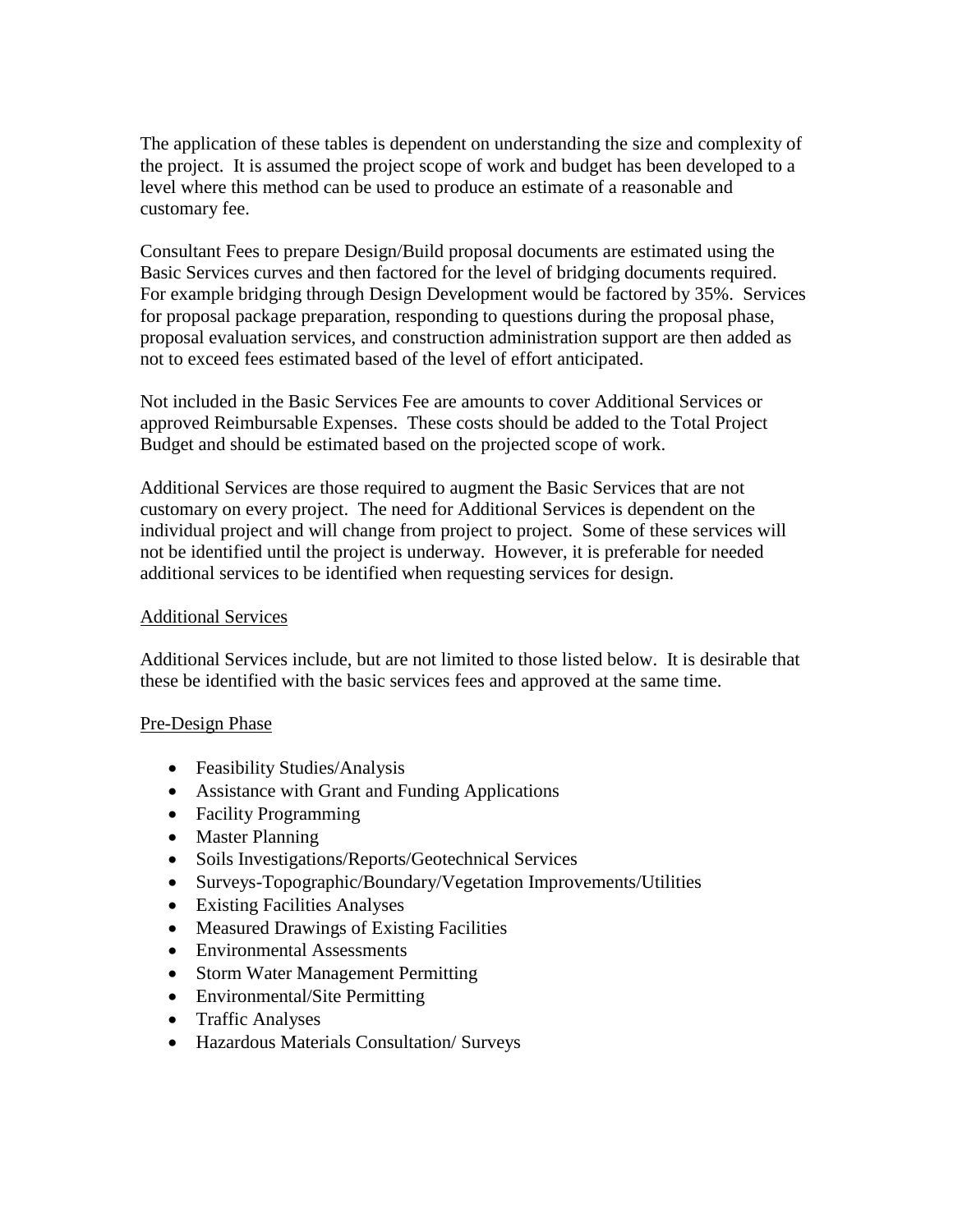The application of these tables is dependent on understanding the size and complexity of the project. It is assumed the project scope of work and budget has been developed to a level where this method can be used to produce an estimate of a reasonable and customary fee.

Consultant Fees to prepare Design/Build proposal documents are estimated using the Basic Services curves and then factored for the level of bridging documents required. For example bridging through Design Development would be factored by 35%. Services for proposal package preparation, responding to questions during the proposal phase, proposal evaluation services, and construction administration support are then added as not to exceed fees estimated based of the level of effort anticipated.

Not included in the Basic Services Fee are amounts to cover Additional Services or approved Reimbursable Expenses. These costs should be added to the Total Project Budget and should be estimated based on the projected scope of work.

Additional Services are those required to augment the Basic Services that are not customary on every project. The need for Additional Services is dependent on the individual project and will change from project to project. Some of these services will not be identified until the project is underway. However, it is preferable for needed additional services to be identified when requesting services for design.

## Additional Services

Additional Services include, but are not limited to those listed below. It is desirable that these be identified with the basic services fees and approved at the same time.

# Pre-Design Phase

- Feasibility Studies/Analysis
- Assistance with Grant and Funding Applications
- Facility Programming
- Master Planning
- Soils Investigations/Reports/Geotechnical Services
- Surveys-Topographic/Boundary/Vegetation Improvements/Utilities
- Existing Facilities Analyses
- Measured Drawings of Existing Facilities
- Environmental Assessments
- Storm Water Management Permitting
- Environmental/Site Permitting
- Traffic Analyses
- Hazardous Materials Consultation/ Surveys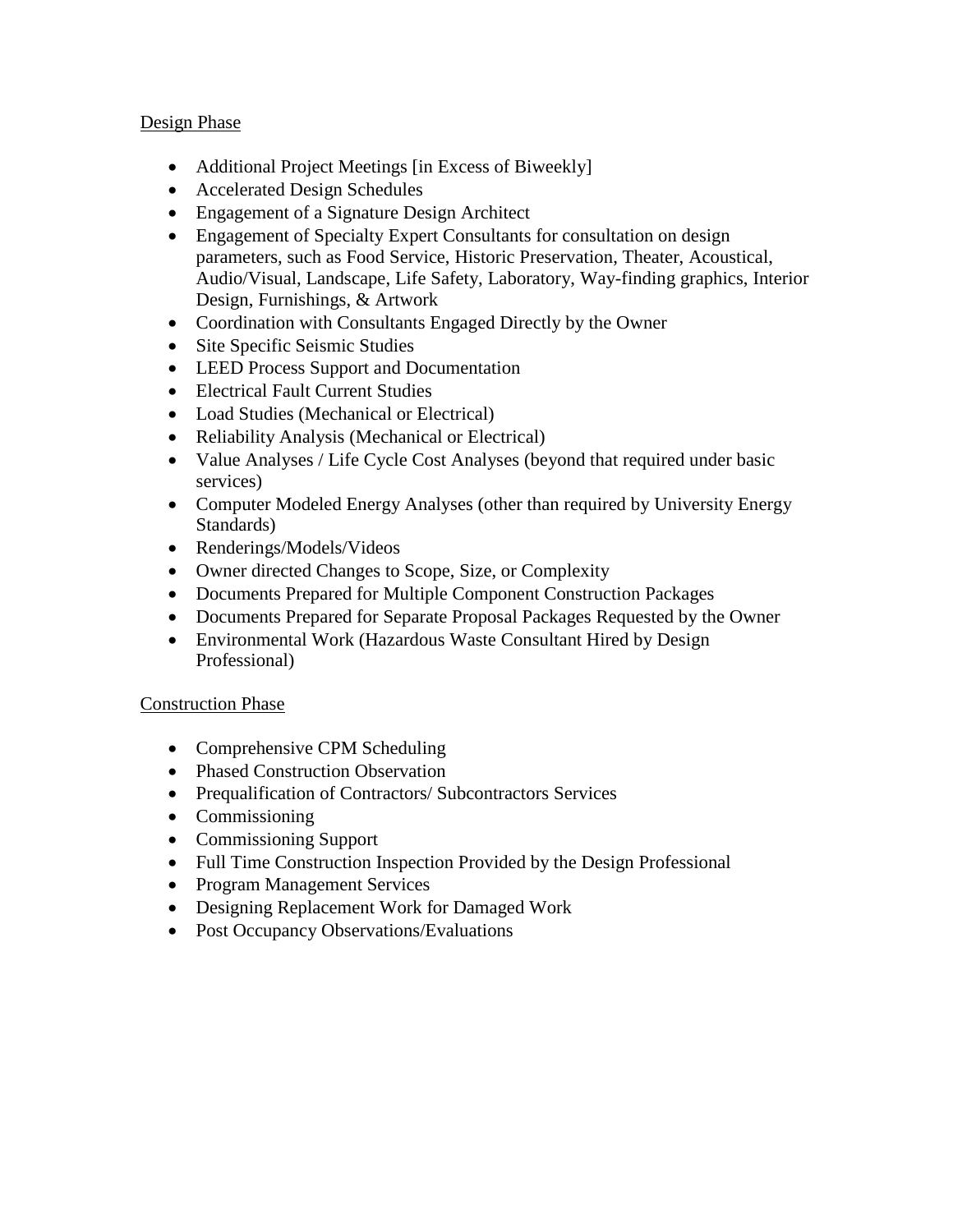## Design Phase

- Additional Project Meetings [in Excess of Biweekly]
- Accelerated Design Schedules
- Engagement of a Signature Design Architect
- Engagement of Specialty Expert Consultants for consultation on design parameters, such as Food Service, Historic Preservation, Theater, Acoustical, Audio/Visual, Landscape, Life Safety, Laboratory, Way-finding graphics, Interior Design, Furnishings, & Artwork
- Coordination with Consultants Engaged Directly by the Owner
- Site Specific Seismic Studies
- LEED Process Support and Documentation
- Electrical Fault Current Studies
- Load Studies (Mechanical or Electrical)
- Reliability Analysis (Mechanical or Electrical)
- Value Analyses / Life Cycle Cost Analyses (beyond that required under basic services)
- Computer Modeled Energy Analyses (other than required by University Energy Standards)
- Renderings/Models/Videos
- Owner directed Changes to Scope, Size, or Complexity
- Documents Prepared for Multiple Component Construction Packages
- Documents Prepared for Separate Proposal Packages Requested by the Owner
- Environmental Work (Hazardous Waste Consultant Hired by Design Professional)

# Construction Phase

- Comprehensive CPM Scheduling
- Phased Construction Observation
- Prequalification of Contractors/ Subcontractors Services
- Commissioning
- Commissioning Support
- Full Time Construction Inspection Provided by the Design Professional
- Program Management Services
- Designing Replacement Work for Damaged Work
- Post Occupancy Observations/Evaluations